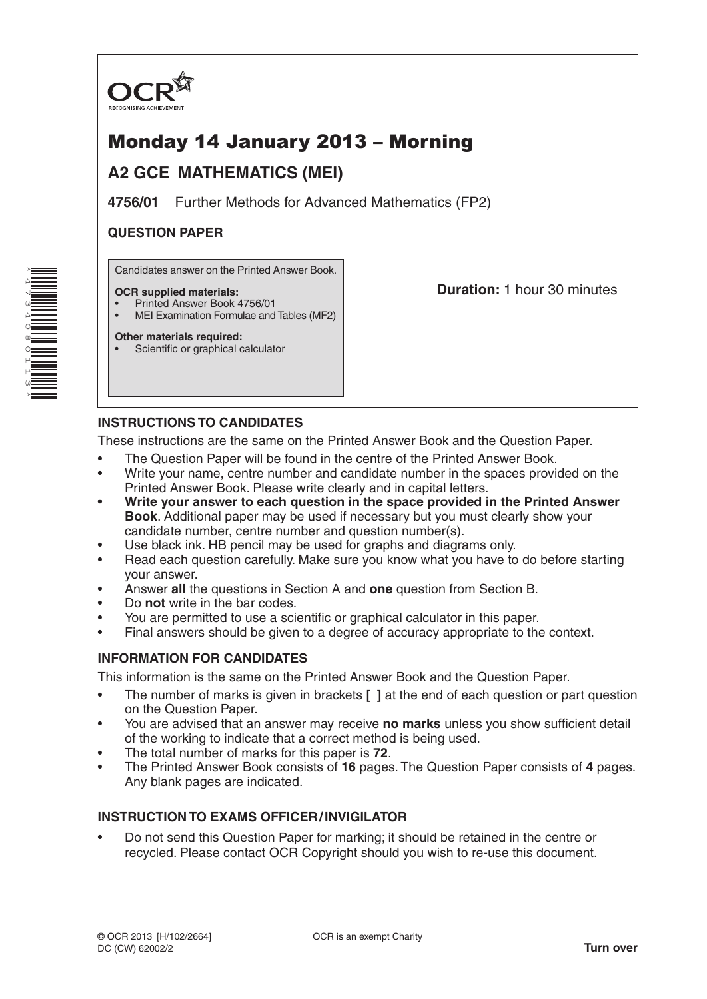

# Monday 14 January 2013 – Morning

# **A2 GCE MATHEMATICS (MEI)**

**4756/01** Further Methods for Advanced Mathematics (FP2)

# **QUESTION PAPER**

Candidates answer on the Printed Answer Book.

#### **OCR supplied materials:**

- Printed Answer Book 4756/01
- MEI Examination Formulae and Tables (MF2)

**Other materials required:** Scientific or graphical calculator **Duration:** 1 hour 30 minutes

# **INSTRUCTIONS TO CANDIDATES**

These instructions are the same on the Printed Answer Book and the Question Paper.

- The Question Paper will be found in the centre of the Printed Answer Book.
- Write your name, centre number and candidate number in the spaces provided on the Printed Answer Book. Please write clearly and in capital letters.
- **• Write your answer to each question in the space provided in the Printed Answer Book**. Additional paper may be used if necessary but you must clearly show your candidate number, centre number and question number(s).
- Use black ink. HB pencil may be used for graphs and diagrams only.
- Read each question carefully. Make sure you know what you have to do before starting your answer.
- Answer **all** the questions in Section A and **one** question from Section B.
- Do **not** write in the bar codes.
- You are permitted to use a scientific or graphical calculator in this paper.
- Final answers should be given to a degree of accuracy appropriate to the context.

# **INFORMATION FOR CANDIDATES**

This information is the same on the Printed Answer Book and the Question Paper.

- The number of marks is given in brackets **[ ]** at the end of each question or part question on the Question Paper.
- You are advised that an answer may receive **no marks** unless you show sufficient detail of the working to indicate that a correct method is being used.
- The total number of marks for this paper is **72**.
- The Printed Answer Book consists of **16** pages. The Question Paper consists of **4** pages. Any blank pages are indicated.

# **INSTRUCTION TO EXAMS OFFICER/INVIGILATOR**

• Do not send this Question Paper for marking; it should be retained in the centre or recycled. Please contact OCR Copyright should you wish to re-use this document.

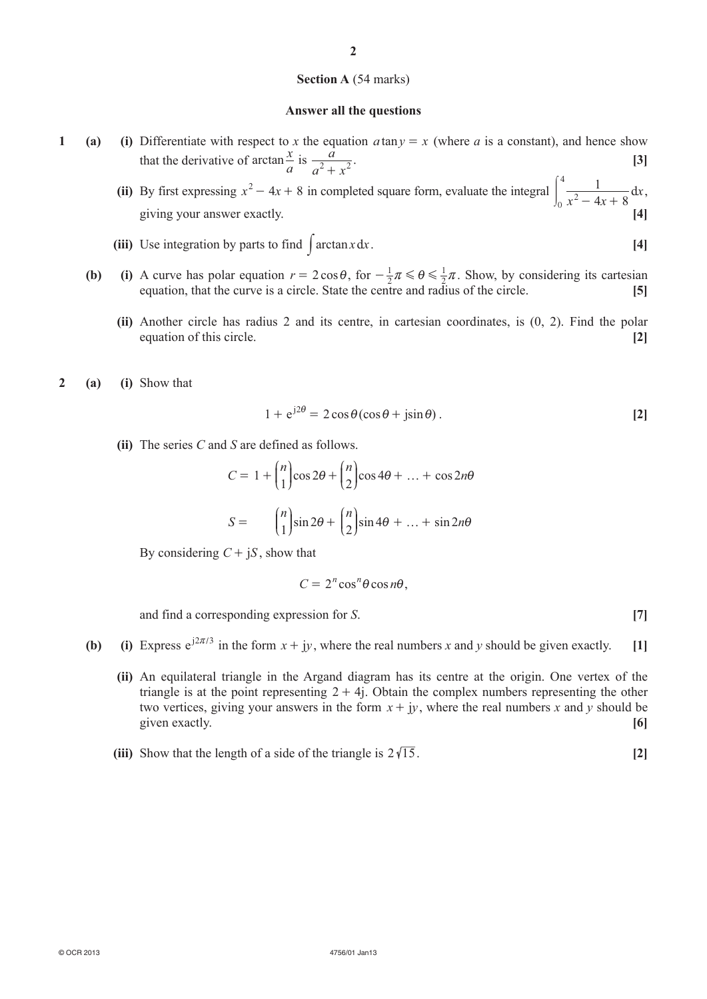#### **Section A** (54 marks)

#### **Answer all the questions**

- **1 (a) (i)** Differentiate with respect to *x* the equation  $a \tan y = x$  (where *a* is a constant), and hence show that the derivative of arctan  $\frac{x}{a}$  is  $\frac{a}{a^2 + a^2}$  $\frac{a}{a^2 + x^2}$  [3]
- **(ii)** By first expressing  $x^2 4x + 8$  in completed square form, evaluate the integral  $x^2 - 4x$ *x*  $\int_0^4 \frac{1}{x^2 - 4x + 8} dx$ 4  $\int_0^1 \frac{1}{x^2 - 4x + 8} dx,$ giving your answer exactly. **[4]**
	- **(iii)** Use integration by parts to find  $\int \arctan x \, dx$ . [4]
	- **(b) (i)** A curve has polar equation  $r = 2 \cos \theta$ , for  $-\frac{1}{2}$  $-\frac{1}{2}\pi \le \theta \le \frac{1}{2}\pi$ . Show, by considering its cartesian equation, that the curve is a circle. State the centre and radius of the circle. **[5]**
		- **(ii)** Another circle has radius 2 and its centre, in cartesian coordinates, is (0, 2). Find the polar equation of this circle. **[2]**
- **2 (a) (i)** Show that

$$
1 + e^{j2\theta} = 2\cos\theta(\cos\theta + j\sin\theta). \tag{2}
$$

 **(ii)** The series *C* and *S* are defined as follows.

$$
C = 1 + {n \choose 1} \cos 2\theta + {n \choose 2} \cos 4\theta + \dots + \cos 2n\theta
$$

$$
S = {n \choose 1} \sin 2\theta + {n \choose 2} \sin 4\theta + \dots + \sin 2n\theta
$$

By considering  $C + iS$ , show that

$$
C=2^n\cos^n\theta\cos n\theta,
$$

and find a corresponding expression for *S*. [7]

- **(b) (i)** Express  $e^{j2\pi/3}$  in the form  $x + jy$ , where the real numbers *x* and *y* should be given exactly. [1]
	- **(ii)** An equilateral triangle in the Argand diagram has its centre at the origin. One vertex of the triangle is at the point representing  $2 + 4$ . Obtain the complex numbers representing the other two vertices, giving your answers in the form  $x + jy$ , where the real numbers x and y should be given exactly. **[6]**
	- **(iii)** Show that the length of a side of the triangle is  $2\sqrt{15}$ . [2]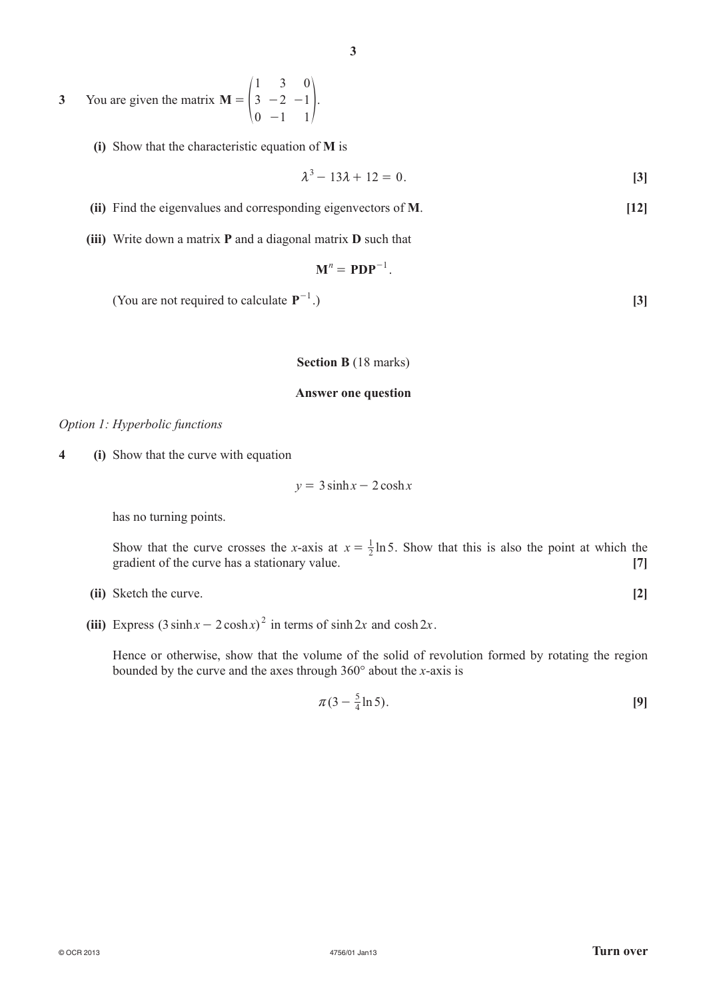**3** You are given the matrix **M** 1 3 0 2 1  $\boldsymbol{0}$ 1 1 3  $= |3 -$ -  $\begin{bmatrix} 3 & -2 & -1 \end{bmatrix}$ .

**(i)** Show that the characteristic equation of **M** is

$$
\lambda^3 - 13\lambda + 12 = 0. \tag{3}
$$

- **(ii)** Find the eigenvalues and corresponding eigenvectors of **M**. **[12]**
- **(iii)** Write down a matrix **P** and a diagonal matrix **D** such that

$$
\mathbf{M}^n = \mathbf{PDP}^{-1}.
$$

**(You are not required to calculate**  $P^{-1}$ **.)** 

.) **[3]**

#### **Section B** (18 marks)

### **Answer one question**

### *Option 1: Hyperbolic functions*

**4 (i)** Show that the curve with equation

$$
y = 3\sinh x - 2\cosh x
$$

has no turning points.

Show that the curve crosses the *x*-axis at  $x = \frac{1}{2} \ln 5$ . Show that this is also the point at which the gradient of the curve has a stationary value. **[7]** [7]

**(ii)** Sketch the curve. **[2]**

(iii) Express  $(3 \sinh x - 2 \cosh x)^2$  in terms of sinh 2*x* and cosh 2*x*.

Hence or otherwise, show that the volume of the solid of revolution formed by rotating the region bounded by the curve and the axes through 360° about the *x*-axis is

$$
\pi(3-\frac{5}{4}\ln 5). \tag{9}
$$